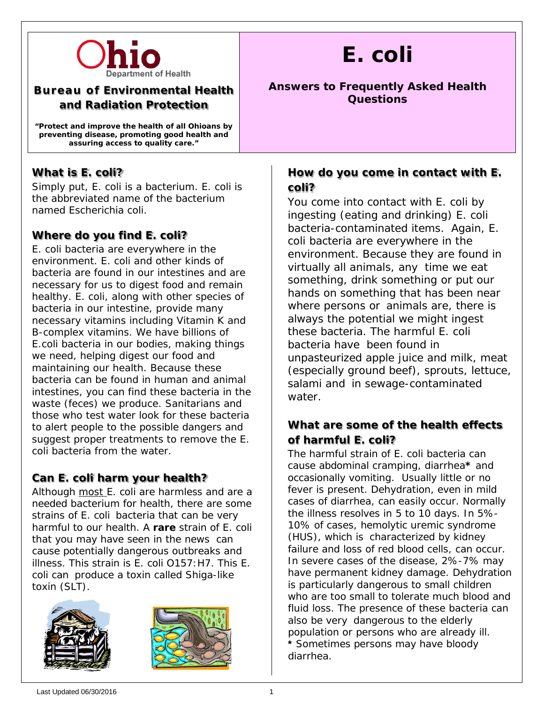

### **Bureau of Environmental Health and Radiation Protection**

**"Protect and improve the health of all Ohioans by preventing disease, promoting good health and assuring access to quality care."**

## **What is** *E. coli***?**

Simply put, *E. coli* is a bacterium. E. coli is the abbreviated name of the bacterium named Escherichia coli.

# **Where do you find** *E. coli***?**

*E. coli* bacteria are everywhere in the environment. *E. coli* and other kinds of bacteria are found in our intestines and are necessary for us to digest food and remain healthy. *E. coli*, along with other species of bacteria in our intestine, provide many necessary vitamins including Vitamin K and B-complex vitamins. We have billions of *E.coli* bacteria in our bodies, making things we need, helping digest our food and maintaining our health. Because these bacteria can be found in human and animal intestines, you can find these bacteria in the waste (feces) we produce. Sanitarians and those who test water look for these bacteria to alert people to the possible dangers and suggest proper treatments to remove the *E. coli* bacteria from the water.

# **Can** *E. coli* **harm your health?**

Although most *E. coli* are harmless and are a needed bacterium for health, there are some strains of *E. coli* bacteria that can be very harmful to our health. A **rare** strain of *E. coli* that you may have seen in the news can cause potentially dangerous outbreaks and illness. This strain is *E. coli* O157:H7. This *E. coli* can produce a toxin called Shiga-like toxin (SLT).





# *E. coli*

#### **Answers to Frequently Asked Health Questions**

## **How do you come in contact with** *E. coli***?**

You come into contact with *E. coli* by ingesting (eating and drinking) *E. coli* bacteria-contaminated items. Again, *E. coli* bacteria are everywhere in the environment. Because they are found in virtually all animals, any time we eat something, drink something or put our hands on something that has been near where persons or animals are, there is always the potential we might ingest these bacteria. The harmful *E. coli* bacteria have been found in unpasteurized apple juice and milk, meat (especially ground beef), sprouts, lettuce, salami and in sewage-contaminated water.

# **What are some of the health effects of harmful** *E. coli***?**

The harmful strain of *E. coli* bacteria can cause abdominal cramping, diarrhea**\*** and occasionally vomiting. Usually little or no fever is present. Dehydration, even in mild cases of diarrhea, can easily occur. Normally the illness resolves in 5 to 10 days. In 5%- 10% of cases, hemolytic uremic syndrome (HUS), which is characterized by kidney failure and loss of red blood cells, can occur. In severe cases of the disease, 2%-7% may have permanent kidney damage. Dehydration is particularly dangerous to small children who are too small to tolerate much blood and fluid loss. The presence of these bacteria can also be very dangerous to the elderly population or persons who are already ill. **\*** Sometimes persons may have bloody diarrhea.